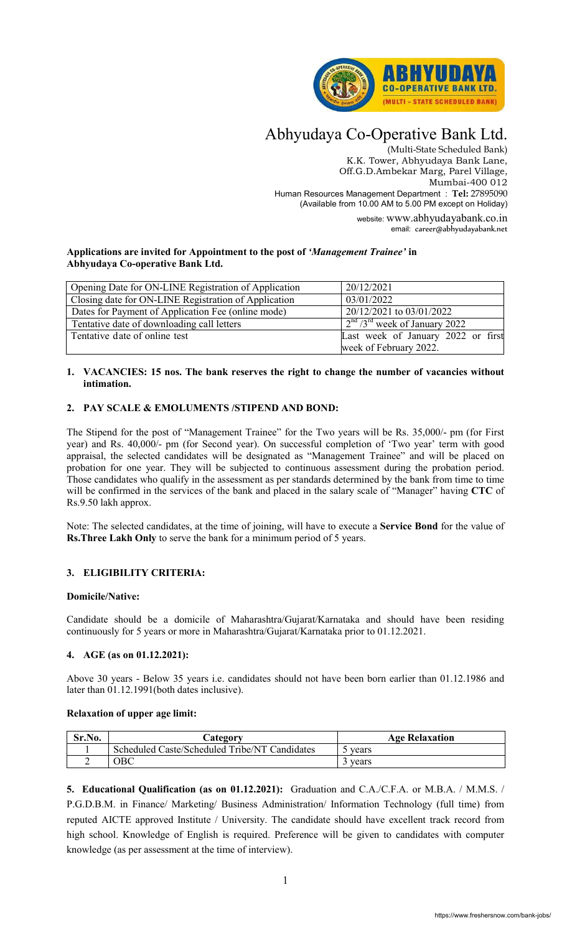

# Abhyudaya Co-Operative Bank Ltd.

(Multi-State Scheduled Bank) K.K. Tower, Abhyudaya Bank Lane, Off.G.D.Ambekar Marg, Parel Village, Mumbai-400 012 Human Resources Management Department : **Tel:** 27895090 (Available from 10.00 AM to 5.00 PM except on Holiday)

> website: www.abhyudayabank.co.in email: career@abhyudayabank.net

## **Applications are invited for Appointment to the post of** *'Management Trainee'* **in Abhyudaya Co-operative Bank Ltd.**

| Opening Date for ON-LINE Registration of Application | 20/12/2021                                  |
|------------------------------------------------------|---------------------------------------------|
| Closing date for ON-LINE Registration of Application | 03/01/2022                                  |
| Dates for Payment of Application Fee (online mode)   | 20/12/2021 to 03/01/2022                    |
| Tentative date of downloading call letters           | $2nd$ /3 <sup>rd</sup> week of January 2022 |
| Tentative date of online test                        | Last week of January 2022 or first          |
|                                                      | week of February 2022.                      |

## **1. VACANCIES: 15 nos. The bank reserves the right to change the number of vacancies without intimation.**

# **2. PAY SCALE & EMOLUMENTS /STIPEND AND BOND:**

The Stipend for the post of "Management Trainee" for the Two years will be Rs. 35,000/- pm (for First year) and Rs. 40,000/- pm (for Second year). On successful completion of 'Two year' term with good appraisal, the selected candidates will be designated as "Management Trainee" and will be placed on probation for one year. They will be subjected to continuous assessment during the probation period. Those candidates who qualify in the assessment as per standards determined by the bank from time to time will be confirmed in the services of the bank and placed in the salary scale of "Manager" having **CTC** of Rs.9.50 lakh approx.

Note: The selected candidates, at the time of joining, will have to execute a **Service Bond** for the value of **Rs.Three Lakh Only** to serve the bank for a minimum period of 5 years.

# **3. ELIGIBILITY CRITERIA:**

## **Domicile/Native:**

Candidate should be a domicile of Maharashtra/Gujarat/Karnataka and should have been residing continuously for 5 years or more in Maharashtra/Gujarat/Karnataka prior to 01.12.2021.

# **4. AGE (as on 01.12.2021):**

Above 30 years - Below 35 years i.e. candidates should not have been born earlier than 01.12.1986 and later than 01.12.1991(both dates inclusive).

## **Relaxation of upper age limit:**

| Sr.No. | <b>Lategory</b>                               | <b>Age Relaxation</b> |  |
|--------|-----------------------------------------------|-----------------------|--|
|        | Scheduled Caste/Scheduled Tribe/NT Candidates | years                 |  |
|        | ОВС                                           | vears                 |  |

**5. Educational Qualification (as on 01.12.2021):** Graduation and C.A./C.F.A. or M.B.A. / M.M.S. / P.G.D.B.M. in Finance/ Marketing/ Business Administration/ Information Technology (full time) from reputed AICTE approved Institute / University. The candidate should have excellent track record from high school. Knowledge of English is required. Preference will be given to candidates with computer knowledge (as per assessment at the time of interview).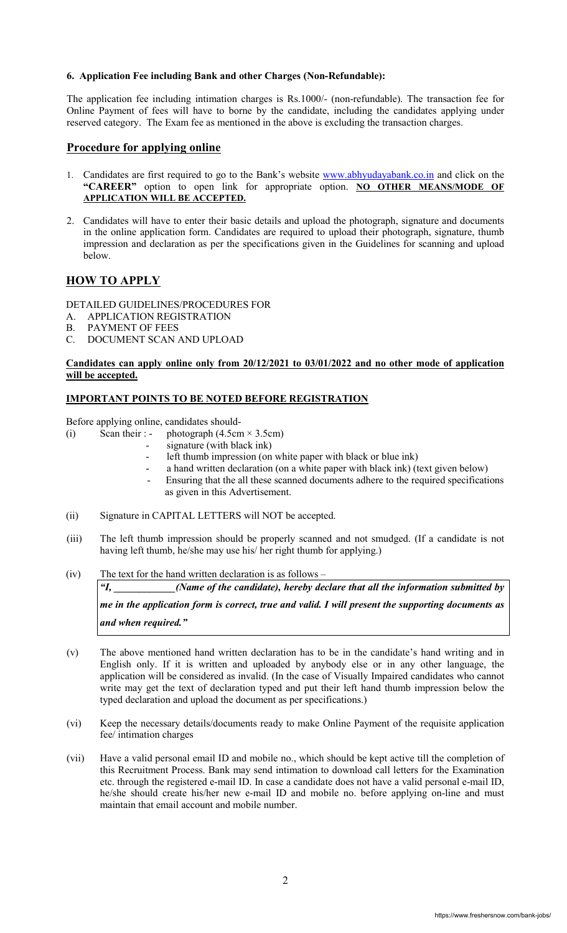## **6. Application Fee including Bank and other Charges (Non-Refundable):**

The application fee including intimation charges is Rs.1000/- (non-refundable). The transaction fee for Online Payment of fees will have to borne by the candidate, including the candidates applying under reserved category. The Exam fee as mentioned in the above is excluding the transaction charges.

## **Procedure for applying online**

- 1. Candidates are first required to go to the Bank's website www.abhyudayabank.co.in and click on the **"CAREER"** option to open link for appropriate option. **NO OTHER MEANS/MODE OF APPLICATION WILL BE ACCEPTED.**
- 2. Candidates will have to enter their basic details and upload the photograph, signature and documents in the online application form. Candidates are required to upload their photograph, signature, thumb impression and declaration as per the specifications given in the Guidelines for scanning and upload below.

# **HOW TO APPLY**

## DETAILED GUIDELINES/PROCEDURES FOR

- A. APPLICATION REGISTRATION<br>B. PAYMENT OF FEES
- PAYMENT OF FEES
- C. DOCUMENT SCAN AND UPLOAD

## **Candidates can apply online only from 20/12/2021 to 03/01/2022 and no other mode of application will be accepted.**

## **IMPORTANT POINTS TO BE NOTED BEFORE REGISTRATION**

Before applying online, candidates should-

- (i) Scan their : photograph  $(4.5cm \times 3.5cm)$ 
	- signature (with black ink)
	- left thumb impression (on white paper with black or blue ink)
	- a hand written declaration (on a white paper with black ink) (text given below)
	- Ensuring that the all these scanned documents adhere to the required specifications as given in this Advertisement.
- (ii) Signature in CAPITAL LETTERS will NOT be accepted.
- (iii) The left thumb impression should be properly scanned and not smudged. (If a candidate is not having left thumb, he/she may use his/ her right thumb for applying.)
- (iv) The text for the hand written declaration is as follows –

*"I, \_\_\_\_\_\_\_\_\_\_\_\_(Name of the candidate), hereby declare that all the information submitted by me in the application form is correct, true and valid. I will present the supporting documents as and when required."* 

- (v) The above mentioned hand written declaration has to be in the candidate's hand writing and in English only. If it is written and uploaded by anybody else or in any other language, the application will be considered as invalid. (In the case of Visually Impaired candidates who cannot write may get the text of declaration typed and put their left hand thumb impression below the typed declaration and upload the document as per specifications.)
- (vi) Keep the necessary details/documents ready to make Online Payment of the requisite application fee/ intimation charges
- (vii) Have a valid personal email ID and mobile no., which should be kept active till the completion of this Recruitment Process. Bank may send intimation to download call letters for the Examination etc. through the registered e-mail ID. In case a candidate does not have a valid personal e-mail ID, he/she should create his/her new e-mail ID and mobile no. before applying on-line and must maintain that email account and mobile number.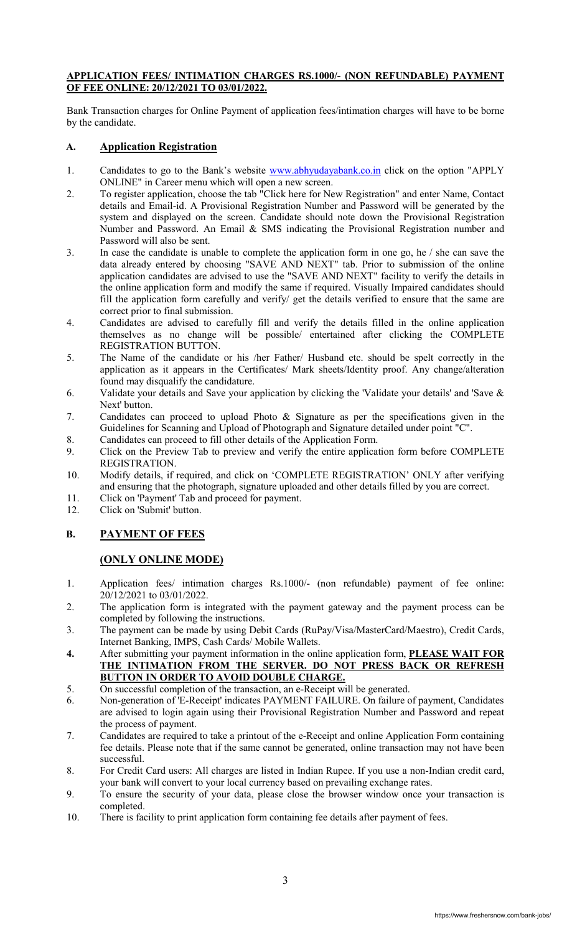## **APPLICATION FEES/ INTIMATION CHARGES RS.1000/- (NON REFUNDABLE) PAYMENT OF FEE ONLINE: 20/12/2021 TO 03/01/2022.**

Bank Transaction charges for Online Payment of application fees/intimation charges will have to be borne by the candidate.

# **A. Application Registration**

- 1. Candidates to go to the Bank's website www.abhyudayabank.co.in click on the option "APPLY ONLINE" in Career menu which will open a new screen.
- 2. To register application, choose the tab "Click here for New Registration" and enter Name, Contact details and Email-id. A Provisional Registration Number and Password will be generated by the system and displayed on the screen. Candidate should note down the Provisional Registration Number and Password. An Email & SMS indicating the Provisional Registration number and Password will also be sent.
- 3. In case the candidate is unable to complete the application form in one go, he / she can save the data already entered by choosing "SAVE AND NEXT" tab. Prior to submission of the online application candidates are advised to use the "SAVE AND NEXT" facility to verify the details in the online application form and modify the same if required. Visually Impaired candidates should fill the application form carefully and verify/ get the details verified to ensure that the same are correct prior to final submission.
- 4. Candidates are advised to carefully fill and verify the details filled in the online application themselves as no change will be possible/ entertained after clicking the COMPLETE REGISTRATION BUTTON.
- 5. The Name of the candidate or his /her Father/ Husband etc. should be spelt correctly in the application as it appears in the Certificates/ Mark sheets/Identity proof. Any change/alteration found may disqualify the candidature.
- 6. Validate your details and Save your application by clicking the 'Validate your details' and 'Save & Next' button.
- 7. Candidates can proceed to upload Photo & Signature as per the specifications given in the Guidelines for Scanning and Upload of Photograph and Signature detailed under point "C".
- 8. Candidates can proceed to fill other details of the Application Form.
- 9. Click on the Preview Tab to preview and verify the entire application form before COMPLETE REGISTRATION.
- 10. Modify details, if required, and click on 'COMPLETE REGISTRATION' ONLY after verifying and ensuring that the photograph, signature uploaded and other details filled by you are correct.
- 11. Click on 'Payment' Tab and proceed for payment.
- 12. Click on 'Submit' button.

# **B. PAYMENT OF FEES**

# **(ONLY ONLINE MODE)**

- 1. Application fees/ intimation charges Rs.1000/- (non refundable) payment of fee online: 20/12/2021 to 03/01/2022.
- 2. The application form is integrated with the payment gateway and the payment process can be completed by following the instructions.
- 3. The payment can be made by using Debit Cards (RuPay/Visa/MasterCard/Maestro), Credit Cards, Internet Banking, IMPS, Cash Cards/ Mobile Wallets.
- **4.** After submitting your payment information in the online application form, **PLEASE WAIT FOR THE INTIMATION FROM THE SERVER. DO NOT PRESS BACK OR REFRESH BUTTON IN ORDER TO AVOID DOUBLE CHARGE.**
- 5. On successful completion of the transaction, an e-Receipt will be generated.
- 6. Non-generation of 'E-Receipt' indicates PAYMENT FAILURE. On failure of payment, Candidates are advised to login again using their Provisional Registration Number and Password and repeat the process of payment.
- 7. Candidates are required to take a printout of the e-Receipt and online Application Form containing fee details. Please note that if the same cannot be generated, online transaction may not have been successful.
- 8. For Credit Card users: All charges are listed in Indian Rupee. If you use a non-Indian credit card, your bank will convert to your local currency based on prevailing exchange rates.
- 9. To ensure the security of your data, please close the browser window once your transaction is completed.
- 10. There is facility to print application form containing fee details after payment of fees.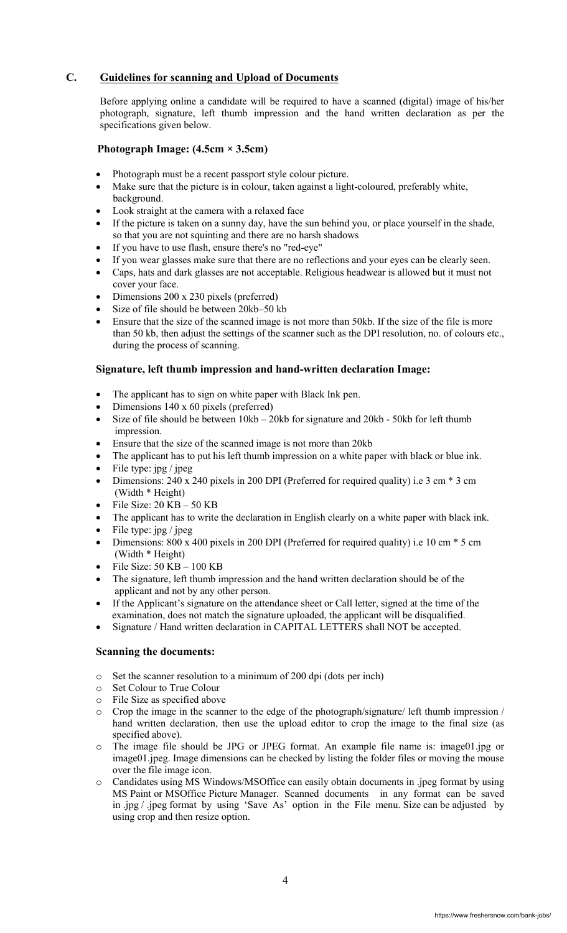# **C. Guidelines for scanning and Upload of Documents**

Before applying online a candidate will be required to have a scanned (digital) image of his/her photograph, signature, left thumb impression and the hand written declaration as per the specifications given below.

# **Photograph Image: (4.5cm × 3.5cm)**

- Photograph must be a recent passport style colour picture.
- Make sure that the picture is in colour, taken against a light-coloured, preferably white, background.
- Look straight at the camera with a relaxed face
- If the picture is taken on a sunny day, have the sun behind you, or place yourself in the shade, so that you are not squinting and there are no harsh shadows
- If you have to use flash, ensure there's no "red-eye"
- If you wear glasses make sure that there are no reflections and your eyes can be clearly seen.
- Caps, hats and dark glasses are not acceptable. Religious headwear is allowed but it must not cover your face.
- Dimensions 200 x 230 pixels (preferred)
- Size of file should be between 20kb–50 kb
- Ensure that the size of the scanned image is not more than 50kb. If the size of the file is more than 50 kb, then adjust the settings of the scanner such as the DPI resolution, no. of colours etc., during the process of scanning.

# **Signature, left thumb impression and hand-written declaration Image:**

- The applicant has to sign on white paper with Black Ink pen.
- Dimensions 140 x 60 pixels (preferred)
- Size of file should be between 10kb 20kb for signature and 20kb 50kb for left thumb impression.
- Ensure that the size of the scanned image is not more than 20kb
- The applicant has to put his left thumb impression on a white paper with black or blue ink.
- File type: jpg / jpeg
- Dimensions: 240 x 240 pixels in 200 DPI (Preferred for required quality) i.e 3 cm \* 3 cm (Width \* Height)
- File Size: 20 KB 50 KB
- The applicant has to write the declaration in English clearly on a white paper with black ink.
- File type: jpg / jpeg
- Dimensions: 800 x 400 pixels in 200 DPI (Preferred for required quality) i.e 10 cm \* 5 cm (Width \* Height)
- File Size: 50 KB 100 KB
- The signature, left thumb impression and the hand written declaration should be of the applicant and not by any other person.
- If the Applicant's signature on the attendance sheet or Call letter, signed at the time of the examination, does not match the signature uploaded, the applicant will be disqualified.
- Signature / Hand written declaration in CAPITAL LETTERS shall NOT be accepted.

# **Scanning the documents:**

- o Set the scanner resolution to a minimum of 200 dpi (dots per inch)
- o Set Colour to True Colour
- o File Size as specified above
- o Crop the image in the scanner to the edge of the photograph/signature/ left thumb impression / hand written declaration, then use the upload editor to crop the image to the final size (as specified above).
- o The image file should be JPG or JPEG format. An example file name is: image01.jpg or image01.jpeg. Image dimensions can be checked by listing the folder files or moving the mouse over the file image icon.
- o Candidates using MS Windows/MSOffice can easily obtain documents in .jpeg format by using MS Paint or MSOffice Picture Manager. Scanned documents in any format can be saved in .jpg / .jpeg format by using 'Save As' option in the File menu. Size can be adjusted by using crop and then resize option.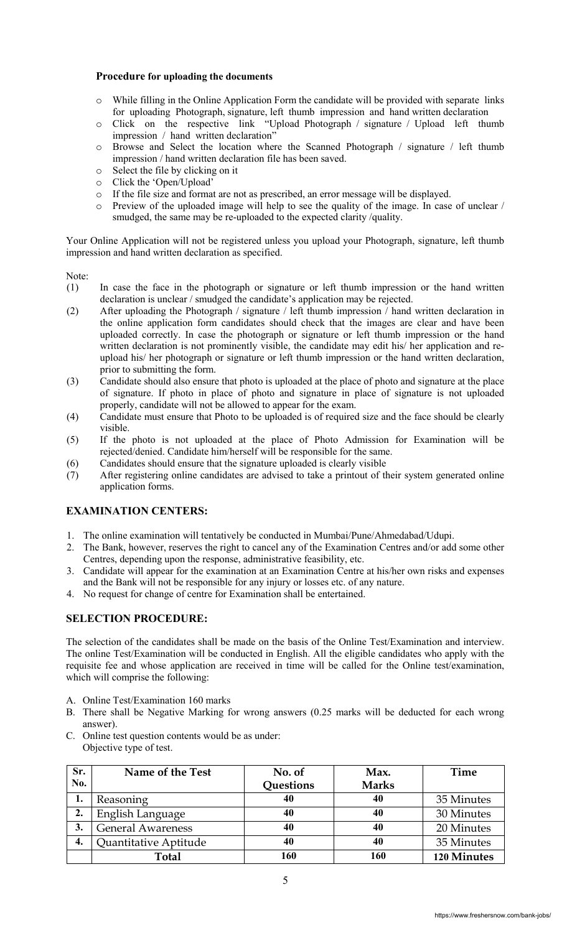## **Procedure for uploading the documents**

- o While filling in the Online Application Form the candidate will be provided with separate links for uploading Photograph, signature, left thumb impression and hand written declaration
- o Click on the respective link "Upload Photograph / signature / Upload left thumb impression / hand written declaration"
- o Browse and Select the location where the Scanned Photograph / signature / left thumb impression / hand written declaration file has been saved.
- o Select the file by clicking on it
- o Click the 'Open/Upload'
- o If the file size and format are not as prescribed, an error message will be displayed.
- o Preview of the uploaded image will help to see the quality of the image. In case of unclear / smudged, the same may be re-uploaded to the expected clarity /quality.

Your Online Application will not be registered unless you upload your Photograph, signature, left thumb impression and hand written declaration as specified.

Note:

- (1) In case the face in the photograph or signature or left thumb impression or the hand written declaration is unclear / smudged the candidate's application may be rejected.
- (2) After uploading the Photograph / signature / left thumb impression / hand written declaration in the online application form candidates should check that the images are clear and have been uploaded correctly. In case the photograph or signature or left thumb impression or the hand written declaration is not prominently visible, the candidate may edit his/ her application and reupload his/ her photograph or signature or left thumb impression or the hand written declaration, prior to submitting the form.
- (3) Candidate should also ensure that photo is uploaded at the place of photo and signature at the place of signature. If photo in place of photo and signature in place of signature is not uploaded properly, candidate will not be allowed to appear for the exam.
- (4) Candidate must ensure that Photo to be uploaded is of required size and the face should be clearly visible.
- (5) If the photo is not uploaded at the place of Photo Admission for Examination will be rejected/denied. Candidate him/herself will be responsible for the same.
- (6) Candidates should ensure that the signature uploaded is clearly visible
- (7) After registering online candidates are advised to take a printout of their system generated online application forms.

## **EXAMINATION CENTERS:**

- 1. The online examination will tentatively be conducted in Mumbai/Pune/Ahmedabad/Udupi.
- 2. The Bank, however, reserves the right to cancel any of the Examination Centres and/or add some other Centres, depending upon the response, administrative feasibility, etc.
- 3. Candidate will appear for the examination at an Examination Centre at his/her own risks and expenses and the Bank will not be responsible for any injury or losses etc. of any nature.
- 4. No request for change of centre for Examination shall be entertained.

## **SELECTION PROCEDURE:**

The selection of the candidates shall be made on the basis of the Online Test/Examination and interview. The online Test/Examination will be conducted in English. All the eligible candidates who apply with the requisite fee and whose application are received in time will be called for the Online test/examination, which will comprise the following:

- A. Online Test/Examination 160 marks
- B. There shall be Negative Marking for wrong answers (0.25 marks will be deducted for each wrong answer).
- C. Online test question contents would be as under: Objective type of test.

| Sr. | Name of the Test         | No. of    | Max.         | <b>Time</b> |
|-----|--------------------------|-----------|--------------|-------------|
| No. |                          | Questions | <b>Marks</b> |             |
| 1.  | Reasoning                | 40        | 40           | 35 Minutes  |
| 2.  | English Language         | 40        | 40           | 30 Minutes  |
| 3.  | <b>General Awareness</b> | 40        | 40           | 20 Minutes  |
| 4.  | Quantitative Aptitude    | 40        | 40           | 35 Minutes  |
|     | Total                    | 160       | 160          | 120 Minutes |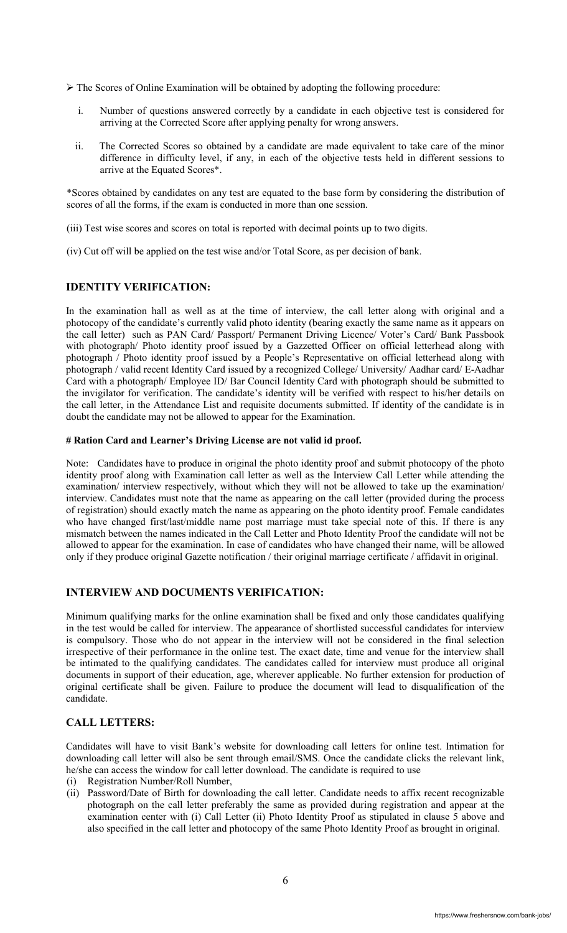$\triangleright$  The Scores of Online Examination will be obtained by adopting the following procedure:

- i. Number of questions answered correctly by a candidate in each objective test is considered for arriving at the Corrected Score after applying penalty for wrong answers.
- ii. The Corrected Scores so obtained by a candidate are made equivalent to take care of the minor difference in difficulty level, if any, in each of the objective tests held in different sessions to arrive at the Equated Scores\*.

\*Scores obtained by candidates on any test are equated to the base form by considering the distribution of scores of all the forms, if the exam is conducted in more than one session.

(iii) Test wise scores and scores on total is reported with decimal points up to two digits.

(iv) Cut off will be applied on the test wise and/or Total Score, as per decision of bank.

# **IDENTITY VERIFICATION:**

In the examination hall as well as at the time of interview, the call letter along with original and a photocopy of the candidate's currently valid photo identity (bearing exactly the same name as it appears on the call letter) such as PAN Card/ Passport/ Permanent Driving Licence/ Voter's Card/ Bank Passbook with photograph/ Photo identity proof issued by a Gazzetted Officer on official letterhead along with photograph / Photo identity proof issued by a People's Representative on official letterhead along with photograph / valid recent Identity Card issued by a recognized College/ University/ Aadhar card/ E-Aadhar Card with a photograph/ Employee ID/ Bar Council Identity Card with photograph should be submitted to the invigilator for verification. The candidate's identity will be verified with respect to his/her details on the call letter, in the Attendance List and requisite documents submitted. If identity of the candidate is in doubt the candidate may not be allowed to appear for the Examination.

#### **# Ration Card and Learner's Driving License are not valid id proof.**

Note: Candidates have to produce in original the photo identity proof and submit photocopy of the photo identity proof along with Examination call letter as well as the Interview Call Letter while attending the examination/ interview respectively, without which they will not be allowed to take up the examination/ interview. Candidates must note that the name as appearing on the call letter (provided during the process of registration) should exactly match the name as appearing on the photo identity proof. Female candidates who have changed first/last/middle name post marriage must take special note of this. If there is any mismatch between the names indicated in the Call Letter and Photo Identity Proof the candidate will not be allowed to appear for the examination. In case of candidates who have changed their name, will be allowed only if they produce original Gazette notification / their original marriage certificate / affidavit in original.

# **INTERVIEW AND DOCUMENTS VERIFICATION:**

Minimum qualifying marks for the online examination shall be fixed and only those candidates qualifying in the test would be called for interview. The appearance of shortlisted successful candidates for interview is compulsory. Those who do not appear in the interview will not be considered in the final selection irrespective of their performance in the online test. The exact date, time and venue for the interview shall be intimated to the qualifying candidates. The candidates called for interview must produce all original documents in support of their education, age, wherever applicable. No further extension for production of original certificate shall be given. Failure to produce the document will lead to disqualification of the candidate.

# **CALL LETTERS:**

Candidates will have to visit Bank's website for downloading call letters for online test. Intimation for downloading call letter will also be sent through email/SMS. Once the candidate clicks the relevant link, he/she can access the window for call letter download. The candidate is required to use

- (i) Registration Number/Roll Number,
- (ii) Password/Date of Birth for downloading the call letter. Candidate needs to affix recent recognizable photograph on the call letter preferably the same as provided during registration and appear at the examination center with (i) Call Letter (ii) Photo Identity Proof as stipulated in clause 5 above and also specified in the call letter and photocopy of the same Photo Identity Proof as brought in original.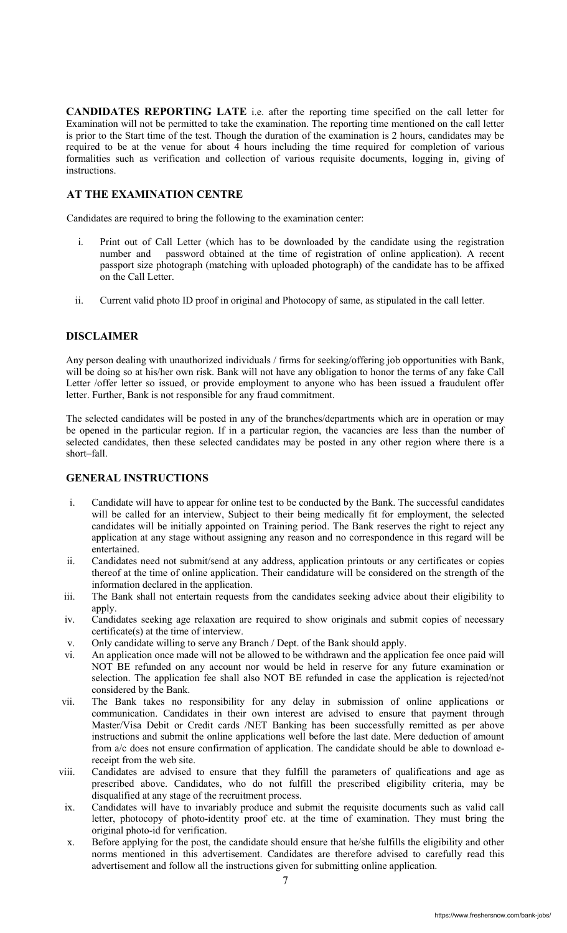**CANDIDATES REPORTING LATE** i.e. after the reporting time specified on the call letter for Examination will not be permitted to take the examination. The reporting time mentioned on the call letter is prior to the Start time of the test. Though the duration of the examination is 2 hours, candidates may be required to be at the venue for about 4 hours including the time required for completion of various formalities such as verification and collection of various requisite documents, logging in, giving of instructions.

# **AT THE EXAMINATION CENTRE**

Candidates are required to bring the following to the examination center:

- i. Print out of Call Letter (which has to be downloaded by the candidate using the registration number and password obtained at the time of registration of online application). A recent passport size photograph (matching with uploaded photograph) of the candidate has to be affixed on the Call Letter.
- ii. Current valid photo ID proof in original and Photocopy of same, as stipulated in the call letter.

## **DISCLAIMER**

Any person dealing with unauthorized individuals / firms for seeking/offering job opportunities with Bank, will be doing so at his/her own risk. Bank will not have any obligation to honor the terms of any fake Call Letter /offer letter so issued, or provide employment to anyone who has been issued a fraudulent offer letter. Further, Bank is not responsible for any fraud commitment.

The selected candidates will be posted in any of the branches/departments which are in operation or may be opened in the particular region. If in a particular region, the vacancies are less than the number of selected candidates, then these selected candidates may be posted in any other region where there is a short–fall.

# **GENERAL INSTRUCTIONS**

- i. Candidate will have to appear for online test to be conducted by the Bank. The successful candidates will be called for an interview, Subject to their being medically fit for employment, the selected candidates will be initially appointed on Training period. The Bank reserves the right to reject any application at any stage without assigning any reason and no correspondence in this regard will be entertained.
- ii. Candidates need not submit/send at any address, application printouts or any certificates or copies thereof at the time of online application. Their candidature will be considered on the strength of the information declared in the application.
- iii. The Bank shall not entertain requests from the candidates seeking advice about their eligibility to apply.
- iv. Candidates seeking age relaxation are required to show originals and submit copies of necessary certificate(s) at the time of interview.
- v. Only candidate willing to serve any Branch / Dept. of the Bank should apply.
- vi. An application once made will not be allowed to be withdrawn and the application fee once paid will NOT BE refunded on any account nor would be held in reserve for any future examination or selection. The application fee shall also NOT BE refunded in case the application is rejected/not considered by the Bank.
- vii. The Bank takes no responsibility for any delay in submission of online applications or communication. Candidates in their own interest are advised to ensure that payment through Master/Visa Debit or Credit cards /NET Banking has been successfully remitted as per above instructions and submit the online applications well before the last date. Mere deduction of amount from a/c does not ensure confirmation of application. The candidate should be able to download ereceipt from the web site.
- viii. Candidates are advised to ensure that they fulfill the parameters of qualifications and age as prescribed above. Candidates, who do not fulfill the prescribed eligibility criteria, may be disqualified at any stage of the recruitment process.
- ix. Candidates will have to invariably produce and submit the requisite documents such as valid call letter, photocopy of photo-identity proof etc. at the time of examination. They must bring the original photo-id for verification.
- x. Before applying for the post, the candidate should ensure that he/she fulfills the eligibility and other norms mentioned in this advertisement. Candidates are therefore advised to carefully read this advertisement and follow all the instructions given for submitting online application.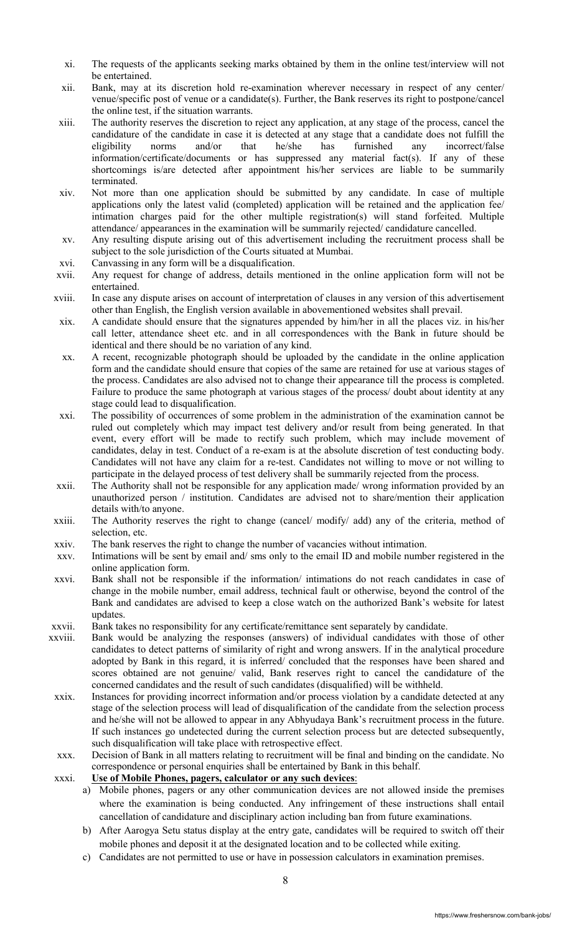- xi. The requests of the applicants seeking marks obtained by them in the online test/interview will not be entertained.
- xii. Bank, may at its discretion hold re-examination wherever necessary in respect of any center/ venue/specific post of venue or a candidate(s). Further, the Bank reserves its right to postpone/cancel the online test, if the situation warrants.
- xiii. The authority reserves the discretion to reject any application, at any stage of the process, cancel the candidature of the candidate in case it is detected at any stage that a candidate does not fulfill the eligibility norms and/or that he/she has furnished any incorrect/false information/certificate/documents or has suppressed any material fact(s). If any of these shortcomings is/are detected after appointment his/her services are liable to be summarily terminated.
- xiv. Not more than one application should be submitted by any candidate. In case of multiple applications only the latest valid (completed) application will be retained and the application fee/ intimation charges paid for the other multiple registration(s) will stand forfeited. Multiple attendance/ appearances in the examination will be summarily rejected/ candidature cancelled.
- xv. Any resulting dispute arising out of this advertisement including the recruitment process shall be subject to the sole jurisdiction of the Courts situated at Mumbai.
- xvi. Canvassing in any form will be a disqualification.
- xvii. Any request for change of address, details mentioned in the online application form will not be entertained.
- xviii. In case any dispute arises on account of interpretation of clauses in any version of this advertisement other than English, the English version available in abovementioned websites shall prevail.
- xix. A candidate should ensure that the signatures appended by him/her in all the places viz. in his/her call letter, attendance sheet etc. and in all correspondences with the Bank in future should be identical and there should be no variation of any kind.
- xx. A recent, recognizable photograph should be uploaded by the candidate in the online application form and the candidate should ensure that copies of the same are retained for use at various stages of the process. Candidates are also advised not to change their appearance till the process is completed. Failure to produce the same photograph at various stages of the process/ doubt about identity at any stage could lead to disqualification.
- xxi. The possibility of occurrences of some problem in the administration of the examination cannot be ruled out completely which may impact test delivery and/or result from being generated. In that event, every effort will be made to rectify such problem, which may include movement of candidates, delay in test. Conduct of a re-exam is at the absolute discretion of test conducting body. Candidates will not have any claim for a re-test. Candidates not willing to move or not willing to participate in the delayed process of test delivery shall be summarily rejected from the process.
- xxii. The Authority shall not be responsible for any application made/ wrong information provided by an unauthorized person / institution. Candidates are advised not to share/mention their application details with/to anyone.
- xxiii. The Authority reserves the right to change (cancel/ modify/ add) any of the criteria, method of selection etc.
- xxiv. The bank reserves the right to change the number of vacancies without intimation.
- xxv. Intimations will be sent by email and/ sms only to the email ID and mobile number registered in the online application form.
- xxvi. Bank shall not be responsible if the information/ intimations do not reach candidates in case of change in the mobile number, email address, technical fault or otherwise, beyond the control of the Bank and candidates are advised to keep a close watch on the authorized Bank's website for latest updates.
- xxvii. Bank takes no responsibility for any certificate/remittance sent separately by candidate.
- xxviii. Bank would be analyzing the responses (answers) of individual candidates with those of other candidates to detect patterns of similarity of right and wrong answers. If in the analytical procedure adopted by Bank in this regard, it is inferred/ concluded that the responses have been shared and scores obtained are not genuine/ valid, Bank reserves right to cancel the candidature of the concerned candidates and the result of such candidates (disqualified) will be withheld.
- xxix. Instances for providing incorrect information and/or process violation by a candidate detected at any stage of the selection process will lead of disqualification of the candidate from the selection process and he/she will not be allowed to appear in any Abhyudaya Bank's recruitment process in the future. If such instances go undetected during the current selection process but are detected subsequently, such disqualification will take place with retrospective effect.
- xxx. Decision of Bank in all matters relating to recruitment will be final and binding on the candidate. No correspondence or personal enquiries shall be entertained by Bank in this behalf.

xxxi. **Use of Mobile Phones, pagers, calculator or any such devices**:

- a) Mobile phones, pagers or any other communication devices are not allowed inside the premises where the examination is being conducted. Any infringement of these instructions shall entail cancellation of candidature and disciplinary action including ban from future examinations.
- b) After Aarogya Setu status display at the entry gate, candidates will be required to switch off their mobile phones and deposit it at the designated location and to be collected while exiting.
- c) Candidates are not permitted to use or have in possession calculators in examination premises.